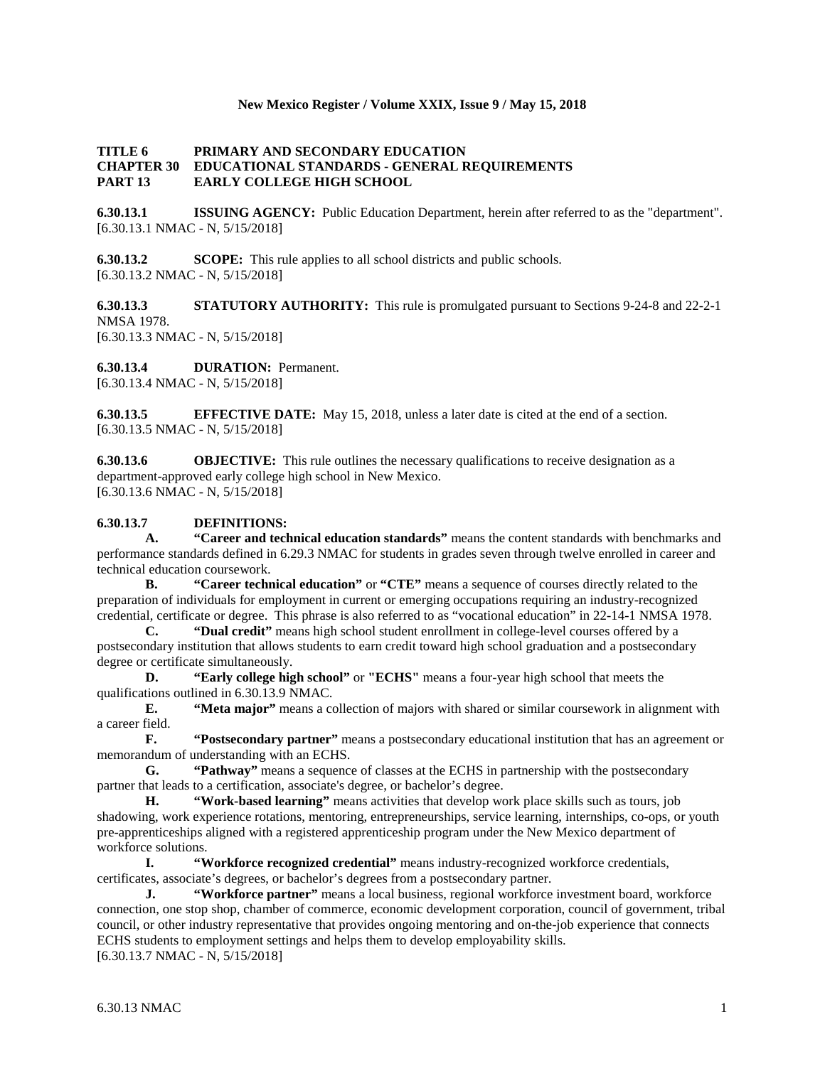## **New Mexico Register / Volume XXIX, Issue 9 / May 15, 2018**

## **TITLE 6 PRIMARY AND SECONDARY EDUCATION CHAPTER 30 EDUCATIONAL STANDARDS - GENERAL REQUIREMENTS PART 13 EARLY COLLEGE HIGH SCHOOL**

**6.30.13.1 ISSUING AGENCY:** Public Education Department, herein after referred to as the "department". [6.30.13.1 NMAC - N, 5/15/2018]

**6.30.13.2 SCOPE:** This rule applies to all school districts and public schools. [6.30.13.2 NMAC - N, 5/15/2018]

**6.30.13.3 STATUTORY AUTHORITY:** This rule is promulgated pursuant to Sections 9-24-8 and 22-2-1 NMSA 1978.

[6.30.13.3 NMAC - N, 5/15/2018]

**6.30.13.4 DURATION:** Permanent. [6.30.13.4 NMAC - N, 5/15/2018]

**6.30.13.5 EFFECTIVE DATE:** May 15, 2018, unless a later date is cited at the end of a section. [6.30.13.5 NMAC - N, 5/15/2018]

**6.30.13.6 OBJECTIVE:** This rule outlines the necessary qualifications to receive designation as a department-approved early college high school in New Mexico. [6.30.13.6 NMAC - N, 5/15/2018]

## **6.30.13.7 DEFINITIONS:**

**A. "Career and technical education standards"** means the content standards with benchmarks and performance standards defined in 6.29.3 NMAC for students in grades seven through twelve enrolled in career and technical education coursework.

**B. "Career technical education"** or **"CTE"** means a sequence of courses directly related to the preparation of individuals for employment in current or emerging occupations requiring an industry-recognized credential, certificate or degree. This phrase is also referred to as "vocational education" in 22-14-1 NMSA 1978.<br> **C.** "Dual credit" means high school student enrollment in college-level courses offered by a

**C. "Dual credit"** means high school student enrollment in college-level courses offered by a postsecondary institution that allows students to earn credit toward high school graduation and a postsecondary degree or certificate simultaneously.

**D. "Early college high school"** or **"ECHS"** means a four-year high school that meets the qualifications outlined in 6.30.13.9 NMAC.

**E. "Meta major"** means a collection of majors with shared or similar coursework in alignment with a career field.

**F. "Postsecondary partner"** means a postsecondary educational institution that has an agreement or memorandum of understanding with an ECHS.

**G. "Pathway"** means a sequence of classes at the ECHS in partnership with the postsecondary partner that leads to a certification, associate's degree, or bachelor's degree.

**H. "Work-based learning"** means activities that develop work place skills such as tours, job shadowing, work experience rotations, mentoring, entrepreneurships, service learning, internships, co-ops, or youth pre-apprenticeships aligned with a registered apprenticeship program under the New Mexico department of workforce solutions.

**I. "Workforce recognized credential"** means industry-recognized workforce credentials, certificates, associate's degrees, or bachelor's degrees from a postsecondary partner.

**J. "Workforce partner"** means a local business, regional workforce investment board, workforce connection, one stop shop, chamber of commerce, economic development corporation, council of government, tribal council, or other industry representative that provides ongoing mentoring and on-the-job experience that connects ECHS students to employment settings and helps them to develop employability skills. [6.30.13.7 NMAC - N, 5/15/2018]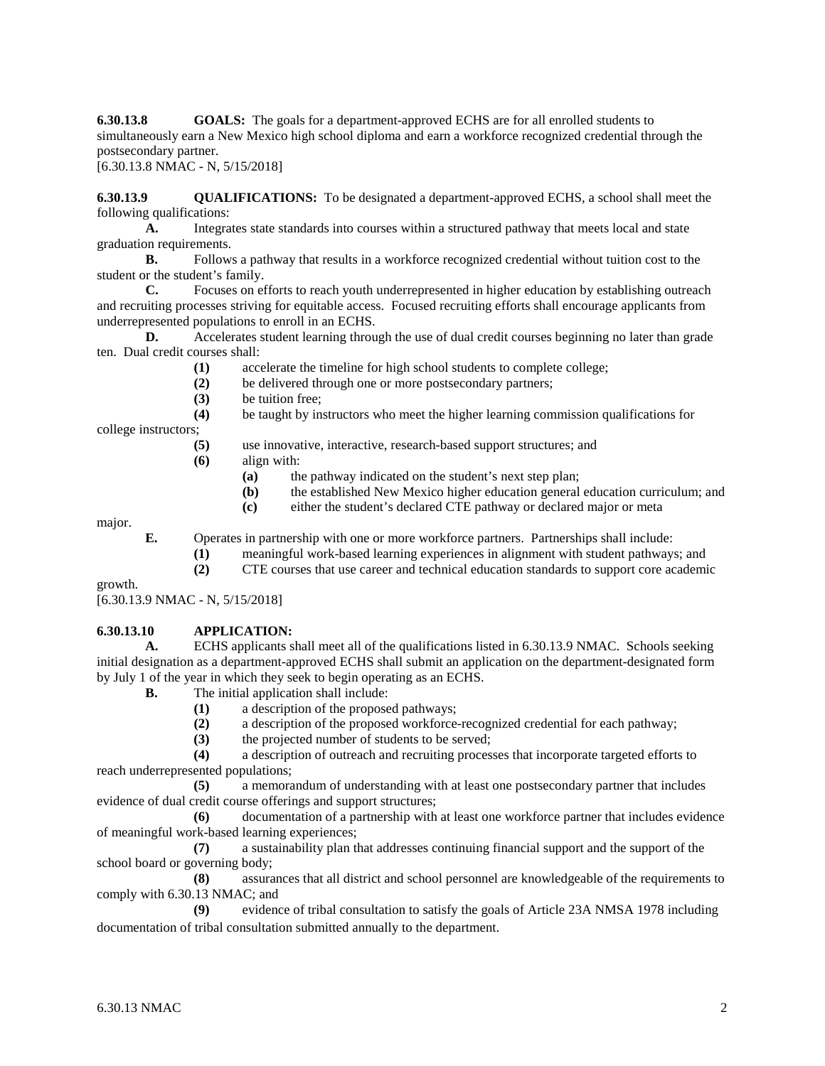**6.30.13.8 GOALS:** The goals for a department-approved ECHS are for all enrolled students to simultaneously earn a New Mexico high school diploma and earn a workforce recognized credential through the postsecondary partner.

[6.30.13.8 NMAC - N, 5/15/2018]

**6.30.13.9 QUALIFICATIONS:** To be designated a department-approved ECHS, a school shall meet the following qualifications:

**A.** Integrates state standards into courses within a structured pathway that meets local and state graduation requirements.

**B.** Follows a pathway that results in a workforce recognized credential without tuition cost to the student or the student's family.<br> **C.** Focuses on et

**C.** Focuses on efforts to reach youth underrepresented in higher education by establishing outreach and recruiting processes striving for equitable access. Focused recruiting efforts shall encourage applicants from underrepresented populations to enroll in an ECHS.

**D.** Accelerates student learning through the use of dual credit courses beginning no later than grade ten. Dual credit courses shall:

- **(1)** accelerate the timeline for high school students to complete college;
- (2) be delivered through one or more postsecondary partners;<br>(3) be tuition free:
- **(3)** be tuition free;

**(4)** be taught by instructors who meet the higher learning commission qualifications for college instructors;

- **(5)** use innovative, interactive, research-based support structures; and
- **(6)** align with:
	- **(a)** the pathway indicated on the student's next step plan;
	- **(b)** the established New Mexico higher education general education curriculum; and
	- **(c)** either the student's declared CTE pathway or declared major or meta

major.

**E.** Operates in partnership with one or more workforce partners. Partnerships shall include:

- **(1)** meaningful work-based learning experiences in alignment with student pathways; and
- **(2)** CTE courses that use career and technical education standards to support core academic

growth.

[6.30.13.9 NMAC - N, 5/15/2018]

#### **6.30.13.10 APPLICATION:**

**A.** ECHS applicants shall meet all of the qualifications listed in 6.30.13.9 NMAC. Schools seeking initial designation as a department-approved ECHS shall submit an application on the department-designated form by July 1 of the year in which they seek to begin operating as an ECHS.

**B.** The initial application shall include:

- **(1)** a description of the proposed pathways;
	- **(2)** a description of the proposed workforce-recognized credential for each pathway;
	- **(3)** the projected number of students to be served;

**(4)** a description of outreach and recruiting processes that incorporate targeted efforts to reach underrepresented populations;

**(5)** a memorandum of understanding with at least one postsecondary partner that includes evidence of dual credit course offerings and support structures;

**(6)** documentation of a partnership with at least one workforce partner that includes evidence of meaningful work-based learning experiences;

**(7)** a sustainability plan that addresses continuing financial support and the support of the school board or governing body;

**(8)** assurances that all district and school personnel are knowledgeable of the requirements to comply with 6.30.13 NMAC; and

**(9)** evidence of tribal consultation to satisfy the goals of Article 23A NMSA 1978 including documentation of tribal consultation submitted annually to the department.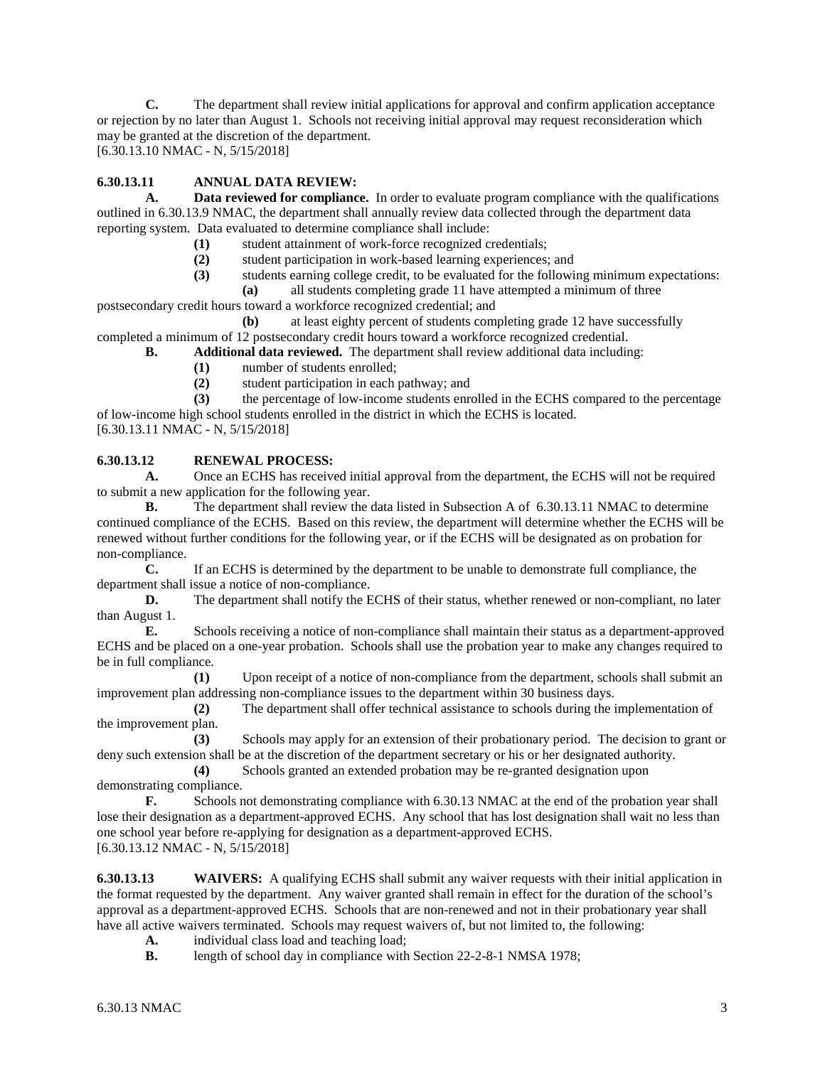**C.** The department shall review initial applications for approval and confirm application acceptance or rejection by no later than August 1. Schools not receiving initial approval may request reconsideration which may be granted at the discretion of the department.

[6.30.13.10 NMAC - N, 5/15/2018]

# **6.30.13.11 ANNUAL DATA REVIEW:**

**A. Data reviewed for compliance.** In order to evaluate program compliance with the qualifications outlined in 6.30.13.9 NMAC, the department shall annually review data collected through the department data reporting system. Data evaluated to determine compliance shall include:

- (1) student attainment of work-force recognized credentials;<br>(2) student participation in work-based learning experiences;
- **(2)** student participation in work-based learning experiences; and
- **(3)** students earning college credit, to be evaluated for the following minimum expectations:
- **(a)** all students completing grade 11 have attempted a minimum of three

postsecondary credit hours toward a workforce recognized credential; and **(b)** at least eighty percent of students completing grade 12 have successfully

completed a minimum of 12 postsecondary credit hours toward a workforce recognized credential.

- **B. Additional data reviewed.** The department shall review additional data including:
	- **(1)** number of students enrolled;
	- **(2)** student participation in each pathway; and

**(3)** the percentage of low-income students enrolled in the ECHS compared to the percentage of low-income high school students enrolled in the district in which the ECHS is located. [6.30.13.11 NMAC - N, 5/15/2018]

# **6.30.13.12 RENEWAL PROCESS:**

**A.** Once an ECHS has received initial approval from the department, the ECHS will not be required to submit a new application for the following year.

**B.** The department shall review the data listed in Subsection A of 6.30.13.11 NMAC to determine continued compliance of the ECHS. Based on this review, the department will determine whether the ECHS will be renewed without further conditions for the following year, or if the ECHS will be designated as on probation for non-compliance.

**C.** If an ECHS is determined by the department to be unable to demonstrate full compliance, the department shall issue a notice of non-compliance.

**D.** The department shall notify the ECHS of their status, whether renewed or non-compliant, no later than August 1.  $E$ 

**E.** Schools receiving a notice of non-compliance shall maintain their status as a department-approved ECHS and be placed on a one-year probation. Schools shall use the probation year to make any changes required to be in full compliance.

**(1)** Upon receipt of a notice of non-compliance from the department, schools shall submit an improvement plan addressing non-compliance issues to the department within 30 business days.

**(2)** The department shall offer technical assistance to schools during the implementation of the improvement plan.

**(3)** Schools may apply for an extension of their probationary period. The decision to grant or deny such extension shall be at the discretion of the department secretary or his or her designated authority.<br>(4) Schools granted an extended probation may be re-granted designation upon

Schools granted an extended probation may be re-granted designation upon demonstrating compliance.

**F.** Schools not demonstrating compliance with 6.30.13 NMAC at the end of the probation year shall lose their designation as a department-approved ECHS. Any school that has lost designation shall wait no less than one school year before re-applying for designation as a department-approved ECHS. [6.30.13.12 NMAC - N, 5/15/2018]

**6.30.13.13 WAIVERS:** A qualifying ECHS shall submit any waiver requests with their initial application in the format requested by the department. Any waiver granted shall remain in effect for the duration of the school's approval as a department-approved ECHS. Schools that are non-renewed and not in their probationary year shall have all active waivers terminated. Schools may request waivers of, but not limited to, the following:

- **A.** individual class load and teaching load;<br>**B.** length of school day in compliance with
- length of school day in compliance with Section 22-2-8-1 NMSA 1978;